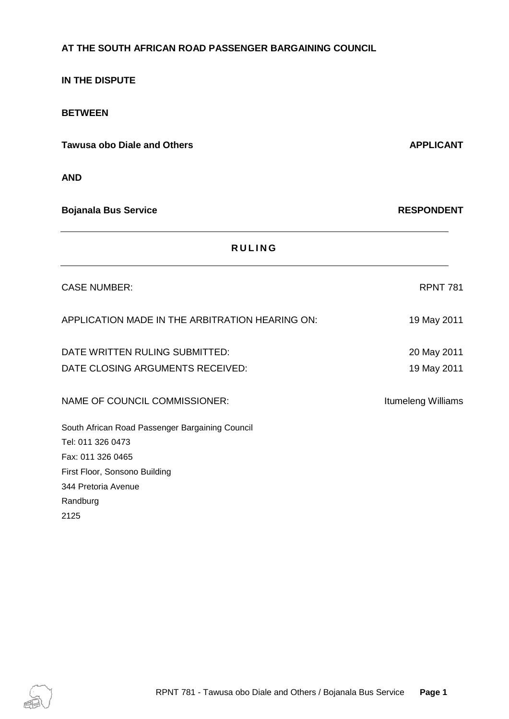# **AT THE SOUTH AFRICAN ROAD PASSENGER BARGAINING COUNCIL**

# **IN THE DISPUTE BETWEEN Tawusa obo Diale and Others APPLICANT AND Bojanala Bus Service RESPONDENT R U L I N G** CASE NUMBER: The contract of the contract of the contract of the contract of the contract of the contract of the contract of the contract of the contract of the contract of the contract of the contract of the contract of t APPLICATION MADE IN THE ARBITRATION HEARING ON: 19 May 2011 DATE WRITTEN RULING SUBMITTED: 20 May 2011 DATE CLOSING ARGUMENTS RECEIVED: 19 May 2011 NAME OF COUNCIL COMMISSIONER: Itumeleng Williams South African Road Passenger Bargaining Council Tel: 011 326 0473 Fax: 011 326 0465 First Floor, Sonsono Building 344 Pretoria Avenue Randburg 2125

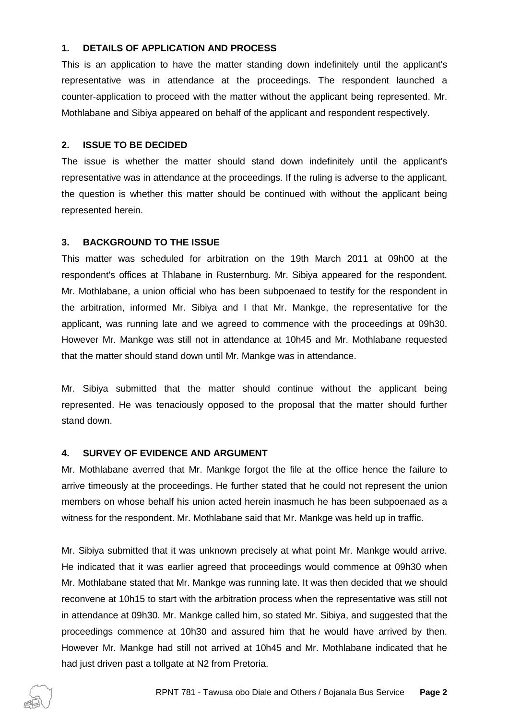### **1. DETAILS OF APPLICATION AND PROCESS**

This is an application to have the matter standing down indefinitely until the applicant's representative was in attendance at the proceedings. The respondent launched a counter-application to proceed with the matter without the applicant being represented. Mr. Mothlabane and Sibiya appeared on behalf of the applicant and respondent respectively.

#### **2. ISSUE TO BE DECIDED**

The issue is whether the matter should stand down indefinitely until the applicant's representative was in attendance at the proceedings. If the ruling is adverse to the applicant, the question is whether this matter should be continued with without the applicant being represented herein.

#### **3. BACKGROUND TO THE ISSUE**

This matter was scheduled for arbitration on the 19th March 2011 at 09h00 at the respondent's offices at Thlabane in Rusternburg. Mr. Sibiya appeared for the respondent. Mr. Mothlabane, a union official who has been subpoenaed to testify for the respondent in the arbitration, informed Mr. Sibiya and I that Mr. Mankge, the representative for the applicant, was running late and we agreed to commence with the proceedings at 09h30. However Mr. Mankge was still not in attendance at 10h45 and Mr. Mothlabane requested that the matter should stand down until Mr. Mankge was in attendance.

Mr. Sibiya submitted that the matter should continue without the applicant being represented. He was tenaciously opposed to the proposal that the matter should further stand down.

#### **4. SURVEY OF EVIDENCE AND ARGUMENT**

Mr. Mothlabane averred that Mr. Mankge forgot the file at the office hence the failure to arrive timeously at the proceedings. He further stated that he could not represent the union members on whose behalf his union acted herein inasmuch he has been subpoenaed as a witness for the respondent. Mr. Mothlabane said that Mr. Mankge was held up in traffic.

Mr. Sibiya submitted that it was unknown precisely at what point Mr. Mankge would arrive. He indicated that it was earlier agreed that proceedings would commence at 09h30 when Mr. Mothlabane stated that Mr. Mankge was running late. It was then decided that we should reconvene at 10h15 to start with the arbitration process when the representative was still not in attendance at 09h30. Mr. Mankge called him, so stated Mr. Sibiya, and suggested that the proceedings commence at 10h30 and assured him that he would have arrived by then. However Mr. Mankge had still not arrived at 10h45 and Mr. Mothlabane indicated that he had just driven past a tollgate at N2 from Pretoria.